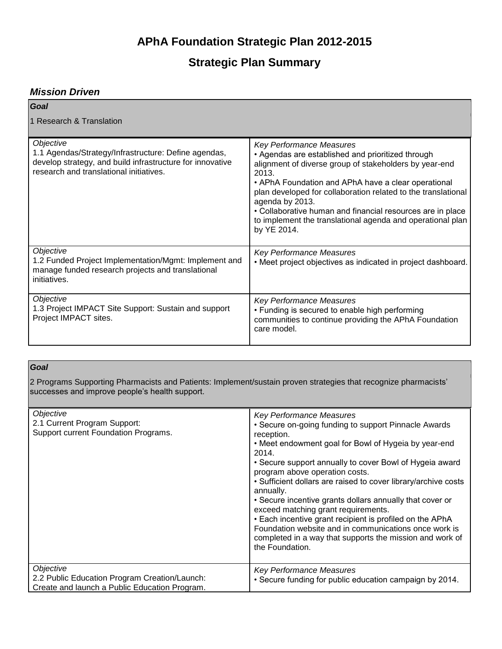# **APhA Foundation Strategic Plan 2012-2015**

# **Strategic Plan Summary**

## *Mission Driven*

| Goal                                                                                                                                                                      |                                                                                                                                                                                                                                                                                                                                                                                                                                               |
|---------------------------------------------------------------------------------------------------------------------------------------------------------------------------|-----------------------------------------------------------------------------------------------------------------------------------------------------------------------------------------------------------------------------------------------------------------------------------------------------------------------------------------------------------------------------------------------------------------------------------------------|
| 1 Research & Translation                                                                                                                                                  |                                                                                                                                                                                                                                                                                                                                                                                                                                               |
| Objective<br>1.1 Agendas/Strategy/Infrastructure: Define agendas,<br>develop strategy, and build infrastructure for innovative<br>research and translational initiatives. | <b>Key Performance Measures</b><br>• Agendas are established and prioritized through<br>alignment of diverse group of stakeholders by year-end<br>2013.<br>• APhA Foundation and APhA have a clear operational<br>plan developed for collaboration related to the translational<br>agenda by 2013.<br>• Collaborative human and financial resources are in place<br>to implement the translational agenda and operational plan<br>by YE 2014. |
| Objective<br>1.2 Funded Project Implementation/Mgmt: Implement and<br>manage funded research projects and translational<br>initiatives.                                   | <b>Key Performance Measures</b><br>• Meet project objectives as indicated in project dashboard.                                                                                                                                                                                                                                                                                                                                               |
| Objective<br>1.3 Project IMPACT Site Support: Sustain and support<br>Project IMPACT sites.                                                                                | <b>Key Performance Measures</b><br>• Funding is secured to enable high performing<br>communities to continue providing the APhA Foundation<br>care model.                                                                                                                                                                                                                                                                                     |

### *Goal*

2 Programs Supporting Pharmacists and Patients: Implement/sustain proven strategies that recognize pharmacists' successes and improve people's health support.

| Objective<br>2.1 Current Program Support:<br>Support current Foundation Programs.                           | <b>Key Performance Measures</b><br>• Secure on-going funding to support Pinnacle Awards<br>reception.<br>• Meet endowment goal for Bowl of Hygeia by year-end<br>2014.<br>• Secure support annually to cover Bowl of Hygeia award<br>program above operation costs.<br>• Sufficient dollars are raised to cover library/archive costs<br>annually.<br>• Secure incentive grants dollars annually that cover or<br>exceed matching grant requirements.<br>• Each incentive grant recipient is profiled on the APhA<br>Foundation website and in communications once work is<br>completed in a way that supports the mission and work of<br>the Foundation. |
|-------------------------------------------------------------------------------------------------------------|-----------------------------------------------------------------------------------------------------------------------------------------------------------------------------------------------------------------------------------------------------------------------------------------------------------------------------------------------------------------------------------------------------------------------------------------------------------------------------------------------------------------------------------------------------------------------------------------------------------------------------------------------------------|
| Objective<br>2.2 Public Education Program Creation/Launch:<br>Create and launch a Public Education Program. | <b>Key Performance Measures</b><br>. Secure funding for public education campaign by 2014.                                                                                                                                                                                                                                                                                                                                                                                                                                                                                                                                                                |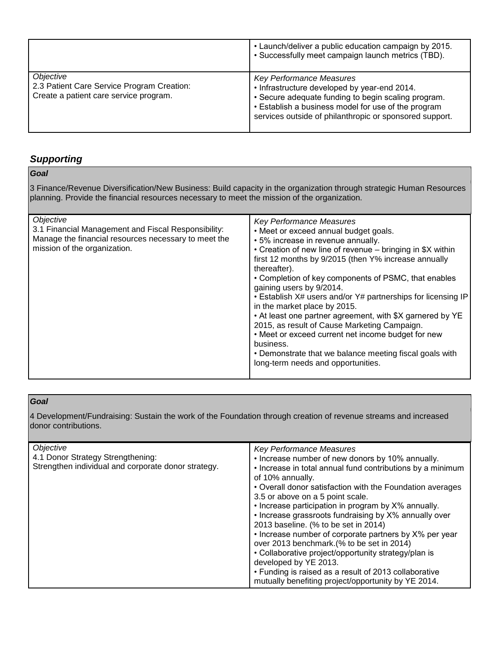|                                                                                                   | • Launch/deliver a public education campaign by 2015.<br>• Successfully meet campaign launch metrics (TBD).                                                                                                                                              |
|---------------------------------------------------------------------------------------------------|----------------------------------------------------------------------------------------------------------------------------------------------------------------------------------------------------------------------------------------------------------|
| Objective<br>2.3 Patient Care Service Program Creation:<br>Create a patient care service program. | <b>Key Performance Measures</b><br>• Infrastructure developed by year-end 2014.<br>• Secure adequate funding to begin scaling program.<br>• Establish a business model for use of the program<br>services outside of philanthropic or sponsored support. |

## *Supporting*

## *Goal*

3 Finance/Revenue Diversification/New Business: Build capacity in the organization through strategic Human Resources planning. Provide the financial resources necessary to meet the mission of the organization.

| Objective<br>3.1 Financial Management and Fiscal Responsibility:<br>Manage the financial resources necessary to meet the<br>mission of the organization. | <b>Key Performance Measures</b><br>• Meet or exceed annual budget goals.<br>• 5% increase in revenue annually.<br>• Creation of new line of revenue – bringing in \$X within<br>first 12 months by 9/2015 (then Y% increase annually<br>thereafter).<br>• Completion of key components of PSMC, that enables<br>gaining users by 9/2014.<br>• Establish X# users and/or Y# partnerships for licensing IP<br>in the market place by 2015.<br>• At least one partner agreement, with \$X garnered by YE<br>2015, as result of Cause Marketing Campaign.<br>• Meet or exceed current net income budget for new<br>business.<br>• Demonstrate that we balance meeting fiscal goals with<br>long-term needs and opportunities. |
|----------------------------------------------------------------------------------------------------------------------------------------------------------|---------------------------------------------------------------------------------------------------------------------------------------------------------------------------------------------------------------------------------------------------------------------------------------------------------------------------------------------------------------------------------------------------------------------------------------------------------------------------------------------------------------------------------------------------------------------------------------------------------------------------------------------------------------------------------------------------------------------------|

### *Goal*

4 Development/Fundraising: Sustain the work of the Foundation through creation of revenue streams and increased donor contributions.

| <b>Key Performance Measures</b><br>. Increase number of new donors by 10% annually.<br>• Increase in total annual fund contributions by a minimum<br>of 10% annually.<br>• Overall donor satisfaction with the Foundation averages<br>3.5 or above on a 5 point scale.<br>• Increase participation in program by X% annually.<br>• Increase grassroots fundraising by X% annually over<br>2013 baseline. (% to be set in 2014)<br>• Increase number of corporate partners by X% per year<br>over 2013 benchmark.(% to be set in 2014)<br>• Collaborative project/opportunity strategy/plan is |
|-----------------------------------------------------------------------------------------------------------------------------------------------------------------------------------------------------------------------------------------------------------------------------------------------------------------------------------------------------------------------------------------------------------------------------------------------------------------------------------------------------------------------------------------------------------------------------------------------|
| developed by YE 2013.<br>• Funding is raised as a result of 2013 collaborative<br>mutually benefiting project/opportunity by YE 2014.                                                                                                                                                                                                                                                                                                                                                                                                                                                         |
|                                                                                                                                                                                                                                                                                                                                                                                                                                                                                                                                                                                               |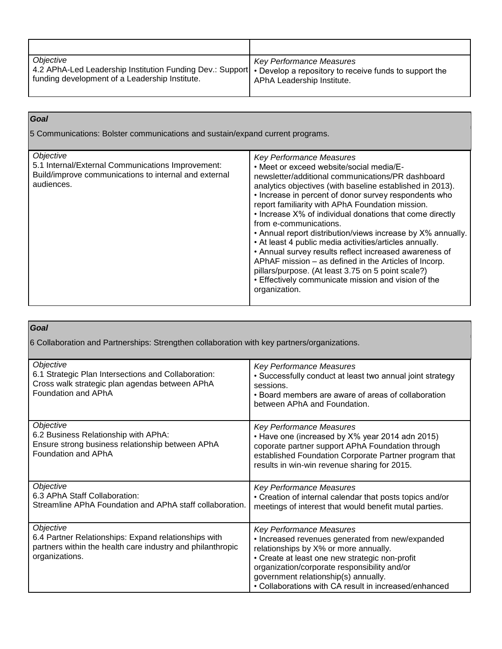| Objective<br>4.2 APhA-Led Leadership Institution Funding Dev.: Support   • Develop a repository to receive funds to support the<br>funding development of a Leadership Institute. | Key Performance Measures<br>APhA Leadership Institute. |
|-----------------------------------------------------------------------------------------------------------------------------------------------------------------------------------|--------------------------------------------------------|

| Goal                                                                                                                                  |                                                                                                                                                                                                                                                                                                                                                                                                                                                                                                                                                                                                                                                                                                                                                                             |
|---------------------------------------------------------------------------------------------------------------------------------------|-----------------------------------------------------------------------------------------------------------------------------------------------------------------------------------------------------------------------------------------------------------------------------------------------------------------------------------------------------------------------------------------------------------------------------------------------------------------------------------------------------------------------------------------------------------------------------------------------------------------------------------------------------------------------------------------------------------------------------------------------------------------------------|
| 5 Communications: Bolster communications and sustain/expand current programs.                                                         |                                                                                                                                                                                                                                                                                                                                                                                                                                                                                                                                                                                                                                                                                                                                                                             |
| Objective<br>5.1 Internal/External Communications Improvement:<br>Build/improve communications to internal and external<br>audiences. | <b>Key Performance Measures</b><br>• Meet or exceed website/social media/E-<br>newsletter/additional communications/PR dashboard<br>analytics objectives (with baseline established in 2013).<br>• Increase in percent of donor survey respondents who<br>report familiarity with APhA Foundation mission.<br>• Increase X% of individual donations that come directly<br>from e-communications.<br>• Annual report distribution/views increase by X% annually.<br>• At least 4 public media activities/articles annually.<br>• Annual survey results reflect increased awareness of<br>APhAF mission - as defined in the Articles of Incorp.<br>pillars/purpose. (At least 3.75 on 5 point scale?)<br>• Effectively communicate mission and vision of the<br>organization. |

#### *Goal*

6 Collaboration and Partnerships: Strengthen collaboration with key partners/organizations.

| Objective<br>6.1 Strategic Plan Intersections and Collaboration:<br>Cross walk strategic plan agendas between APhA<br>Foundation and APhA         | <b>Key Performance Measures</b><br>• Successfully conduct at least two annual joint strategy<br>sessions.<br>• Board members are aware of areas of collaboration<br>between APhA and Foundation.                                                                                                                                |
|---------------------------------------------------------------------------------------------------------------------------------------------------|---------------------------------------------------------------------------------------------------------------------------------------------------------------------------------------------------------------------------------------------------------------------------------------------------------------------------------|
| Objective<br>6.2 Business Relationship with APhA:<br>Ensure strong business relationship between APhA<br>Foundation and APhA                      | <b>Key Performance Measures</b><br>• Have one (increased by X% year 2014 adn 2015)<br>coporate partner support APhA Foundation through<br>established Foundation Corporate Partner program that<br>results in win-win revenue sharing for 2015.                                                                                 |
| Objective<br>6.3 APhA Staff Collaboration:<br>Streamline APhA Foundation and APhA staff collaboration.                                            | <b>Key Performance Measures</b><br>• Creation of internal calendar that posts topics and/or<br>meetings of interest that would benefit mutal parties.                                                                                                                                                                           |
| Objective<br>6.4 Partner Relationships: Expand relationships with<br>partners within the health care industry and philanthropic<br>organizations. | <b>Key Performance Measures</b><br>• Increased revenues generated from new/expanded<br>relationships by X% or more annually.<br>• Create at least one new strategic non-profit<br>organization/corporate responsibility and/or<br>government relationship(s) annually.<br>• Collaborations with CA result in increased/enhanced |